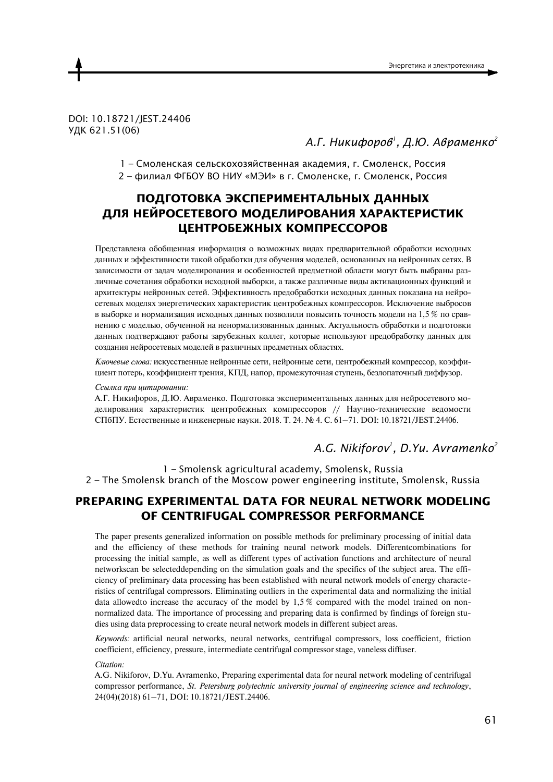DOI: 10.18721/JEST.24406 УДК 621.51(06)

## *А.Г. Никифоров<sup>1</sup> , Д.Ю. Авраменко<sup>2</sup>*

1 – Смоленская сельскохозяйственная академия, г. Смоленск, Россия

2 – филиал ФГБОУ ВО НИУ «МЭИ» в г. Смоленске, г. Смоленск, Россия

# **ПОДГОТОВКА ЭКСПЕРИМЕНТАЛЬНЫХ ДАННЫХ ДЛЯ НЕЙРОСЕТЕВОГО МОДЕЛИРОВАНИЯ ХАРАКТЕРИСТИК ЦЕНТРОБЕЖНЫХ КОМПРЕССОРОВ**

Представлена обобщенная информация о возможных видах предварительной обработки исходных данных и эффективности такой обработки для обучения моделей, основанных на нейронных сетях. В зависимости от залач молелирования и особенностей предметной области могут быть выбраны различные сочетания обработки исходной выборки, а также различные виды активационных функций и архитектуры нейронных сетей. Эффективность предобработки исходных данных показана на нейросетевых моделях энергетических характеристик центробежных компрессоров. Исключение выбросов в выборке и нормализация исходных данных позволили повысить точность модели на  $1,5$  % по сравнению с моделью, обученной на ненормализованных данных. Актуальность обработки и подготовки данных подтверждают работы зарубежных коллег, которые используют предобработку данных для создания нейросетевых моделей в различных предметных областях.

Ключевые слова: искусственные нейронные сети, нейронные сети, центробежный компрессор, коэффициент потерь, коэффициент трения, КПД, напор, промежуточная ступень, безлопаточный диффузор.

#### Ссылка при цитировании:

А.Г. Никифоров, Д.Ю. Авраменко. Подготовка экспериментальных данных для нейросетевого моделирования характеристик центробежных компрессоров // Научно-технические ведомости СПбПУ. Естественные и инженерные науки. 2018. Т. 24. № 4. С. 61-71. DOI: 10.18721/JEST.24406.

## *A.G. Nikiforov<sup>1</sup> , D.Yu. Avramenko<sup>2</sup>*

1 – Smolensk agricultural academy, Smolensk, Russia 2 – The Smolensk branch of the Moscow power engineering institute, Smolensk, Russia

## **PREPARING EXPERIMENTAL DATA FOR NEURAL NETWORK MODELING OF CENTRIFUGAL COMPRESSOR PERFORMANCE**

The paper presents generalized information on possible methods for preliminary processing of initial data and the efficiency of these methods for training neural network models. Differentcombinations for processing the initial sample, as well as different types of activation functions and architecture of neural networkscan be selecteddepending on the simulation goals and the specifics of the subject area. The efficiency of preliminary data processing has been established with neural network models of energy characteristics of centrifugal compressors. Eliminating outliers in the experimental data and normalizing the initial data allowedto increase the accuracy of the model by 1,5 % compared with the model trained on nonnormalized data. The importance of processing and preparing data is confirmed by findings of foreign studies using data preprocessing to create neural network models in different subject areas.

*Keywords:* artificial neural networks, neural networks, centrifugal compressors, loss coefficient, friction coefficient, efficiency, pressure, intermediate centrifugal compressor stage, vaneless diffuser.

*Citation:*

A.G. Nikiforov, D.Yu. Avramenko, Preparing experimental data for neural network modeling of centrifugal compressor performance, *St. Petersburg polytechnic university journal of engineering science and technology*, 24(04)(2018) 61–71, DOI: 10.18721/JEST.24406.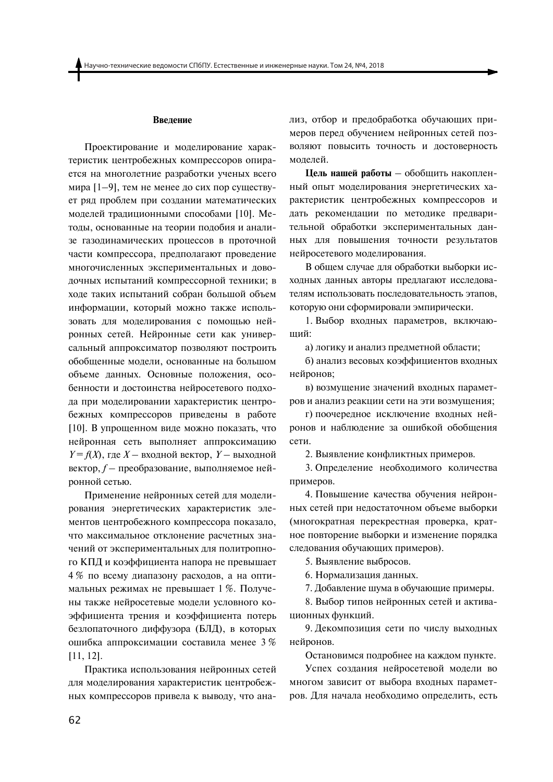#### Введение

Проектирование и моделирование характеристик центробежных компрессоров опирается на многолетние разработки ученых всего мира [1-9], тем не менее до сих пор существует ряд проблем при создании математических моделей традиционными способами [10]. Методы, основанные на теории подобия и анализе газолинамических процессов в проточной части компрессора, предполагают проведение многочисленных экспериментальных и доводочных испытаний компрессорной техники; в ходе таких испытаний собран большой объем информации, который можно также использовать для моделирования с помощью нейронных сетей. Нейронные сети как универсальный аппроксиматор позволяют построить обобщенные модели, основанные на большом объеме данных. Основные положения, особенности и достоинства нейросетевого подхода при моделировании характеристик центробежных компрессоров приведены в работе [10]. В упрощенном виде можно показать, что нейронная сеть выполняет аппроксимацию  $Y = f(X)$ , где  $X$  – входной вектор,  $Y$  – выходной вектор,  $f$  – преобразование, выполняемое нейронной сетью.

Применение нейронных сетей для моделирования энергетических характеристик элементов центробежного компрессора показало, что максимальное отклонение расчетных значений от экспериментальных для политропного КПД и коэффициента напора не превышает 4 % по всему диапазону расходов, а на оптимальных режимах не превышает 1 %. Получены также нейросетевые модели условного коэффициента трения и коэффициента потерь безлопаточного диффузора (БЛД), в которых ошибка аппроксимации составила менее 3%  $[11, 12]$ .

Практика использования нейронных сетей для моделирования характеристик центробежных компрессоров привела к выводу, что анализ, отбор и предобработка обучающих примеров перед обучением нейронных сетей позволяют повысить точность и достоверность молелей.

Цель нашей работы - обобщить накопленный опыт моделирования энергетических характеристик центробежных компрессоров и дать рекомендации по методике предварительной обработки экспериментальных данных для повышения точности результатов нейросетевого моделирования.

В общем случае для обработки выборки исходных данных авторы предлагают исследователям использовать последовательность этапов. которую они сформировали эмпирически.

1. Выбор входных параметров, включающий:

а) логику и анализ предметной области;

б) анализ весовых коэффициентов входных нейронов;

в) возмущение значений входных параметров и анализ реакции сети на эти возмущения;

г) поочередное исключение входных нейронов и наблюдение за ошибкой обобщения сети.

2. Выявление конфликтных примеров.

3. Определение необходимого количества примеров.

4. Повышение качества обучения нейронных сетей при недостаточном объеме выборки (многократная перекрестная проверка, кратное повторение выборки и изменение порядка следования обучающих примеров).

5. Выявление выбросов.

6. Нормализация данных.

7. Добавление шума в обучающие примеры.

8. Выбор типов нейронных сетей и активационных функций.

9. Декомпозиция сети по числу выходных нейронов.

Остановимся подробнее на каждом пункте.

Успех создания нейросетевой модели во многом зависит от выбора входных параметров. Для начала необходимо определить, есть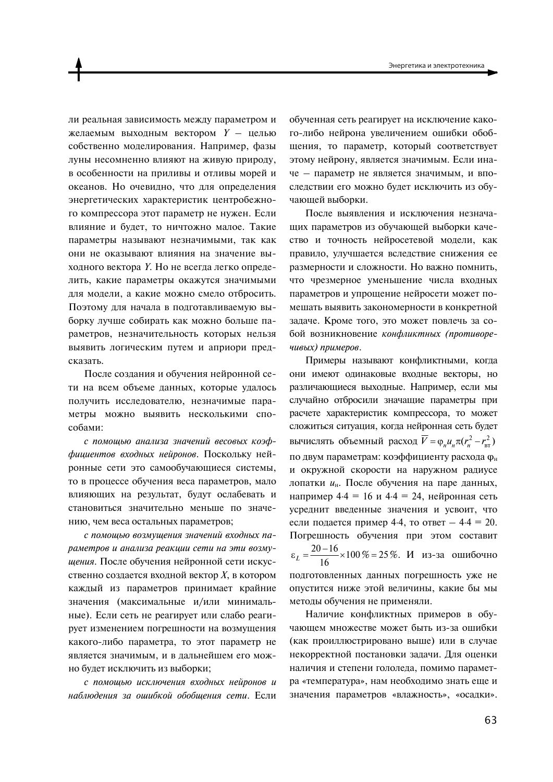ли реальная зависимость между параметром и желаемым выходным вектором  $Y -$  целью собственно моделирования. Например, фазы луны несомненно влияют на живую природу, в особенности на приливы и отливы морей и океанов. Но очевидно, что для определения энергетических характеристик центробежного компрессора этот параметр не нужен. Если влияние и будет, то ничтожно малое. Такие параметры называют незначимыми, так как они не оказывают влияния на значение выходного вектора *Y*. Но не всегда легко определить, какие параметры окажутся значимыми для модели, а какие можно смело отбросить. Поэтому для начала в подготавливаемую выборку лучше собирать как можно больше параметров, незначительность которых нельзя выявить логическим путем и априори предсказать.

После создания и обучения нейронной сети на всем объеме данных, которые удалось получить исследователю, незначимые параметры можно выявить несколькими способами:

с помощью анализа значений весовых коэффициентов входных нейронов. Поскольку нейронные сети это самообучающиеся системы, то в процессе обучения веса параметров, мало влияющих на результат, будут ослабевать и становиться значительно меньше по значению, чем веса остальных параметров;

с помощью возмущения значений входных параметров и анализа реакции сети на эти возмущения. После обучения нейронной сети искусственно создается входной вектор  $X$ . в котором каждый из параметров принимает крайние значения (максимальные и/или минимальные). Если сеть не реагирует или слабо реагирует изменением погрешности на возмущения какого-либо параметра, то этот параметр не является значимым, и в дальнейшем его можно будет исключить из выборки;

с помощью исключения входных нейронов и наблюдения за ошибкой обобщения сети. Если обученная сеть реагирует на исключение какого-либо нейрона увеличением ошибки обобщения, то параметр, который соответствует этому нейрону, является значимым. Если иначе - параметр не является значимым, и впоследствии его можно будет исключить из обучающей выборки.

После выявления и исключения незначащих параметров из обучающей выборки качество и точность нейросетевой модели, как правило, улучшается вследствие снижения ее размерности и сложности. Но важно помнить, что чрезмерное уменьшение числа входных параметров и упрощение нейросети может помешать выявить закономерности в конкретной задаче. Кроме того, это может повлечь за собой возникновение конфликтных (противоречивых) примеров.

Примеры называют конфликтными, когда они имеют одинаковые входные векторы, но различающиеся выходные. Например, если мы случайно отбросили значащие параметры при расчете характеристик компрессора, то может сложиться ситуация, когда нейронная сеть будет вычислять объемный расход  $\overline{V} = \varphi_u u_u \pi (r_u^2 - r_{\rm cr}^2)$ по двум параметрам: коэффициенту расхода Фн и окружной скорости на наружном радиусе лопатки ин. После обучения на паре данных, например 4.4 = 16 и 4.4 = 24, нейронная сеть усреднит введенные значения и усвоит, что если подается пример 4.4, то ответ  $-4.4 = 20$ . Погрешность обучения при этом составит  $\varepsilon_L = \frac{20-16}{16} \times 100\% = 25\%$ . *H* из-за ошибочно подготовленных данных погрешность уже не опустится ниже этой величины, какие бы мы методы обучения не применяли.

Наличие конфликтных примеров в обучающем множестве может быть из-за ошибки (как проиллюстрировано выше) или в случае некорректной постановки задачи. Для оценки наличия и степени гололеда, помимо параметра «температура», нам необходимо знать еще и значения параметров «влажность», «осадки».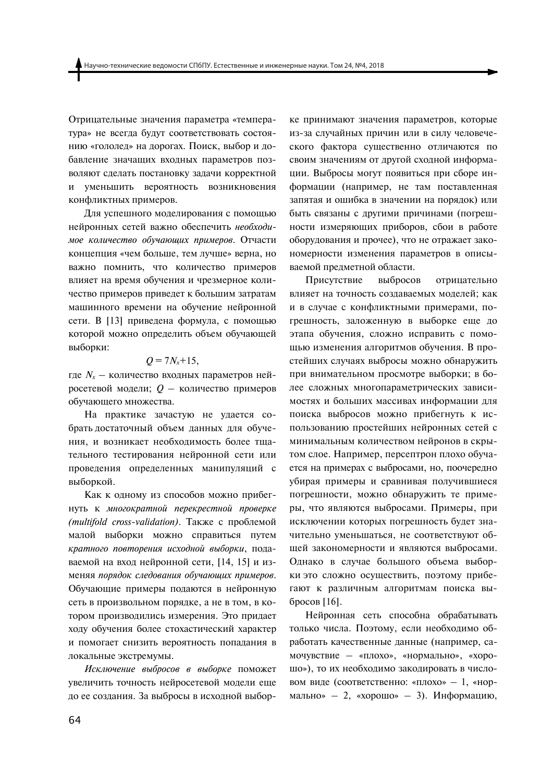Отрицательные значения параметра «температура» не всегда будут соответствовать состоянию «гололед» на дорогах. Поиск, выбор и добавление значащих входных параметров позволяют сделать постановку задачи корректной уменьшить вероятность возникновения И конфликтных примеров.

Для успешного моделирования с помощью нейронных сетей важно обеспечить необходимое количество обучающих примеров. Отчасти концепция «чем больше, тем лучше» верна, но важно помнить, что количество примеров влияет на время обучения и чрезмерное количество примеров приведет к большим затратам машинного времени на обучение нейронной сети. В [13] приведена формула, с помощью которой можно определить объем обучающей выборки:

## $Q = 7N_{x}+15$ ,

где  $N_x$  — количество входных параметров нейросетевой модели;  $Q$  – количество примеров обучающего множества.

На практике зачастую не удается собрать достаточный объем данных для обучения, и возникает необходимость более тщательного тестирования нейронной сети или проведения определенных манипуляций с выборкой.

Как к одному из способов можно прибегнуть к многократной перекрестной проверке (multifold cross-validation). Также с проблемой малой выборки можно справиться путем кратного повторения исходной выборки, подаваемой на вход нейронной сети, [14, 15] и изменяя порядок следования обучающих примеров. Обучающие примеры подаются в нейронную сеть в произвольном порядке, а не в том, в котором производились измерения. Это придает ходу обучения более стохастический характер и помогает снизить вероятность попадания в локальные экстремумы.

Исключение выбросов в выборке поможет увеличить точность нейросетевой модели еще до ее создания. За выбросы в исходной выборке принимают значения параметров, которые из-за случайных причин или в силу человеческого фактора существенно отличаются по своим значениям от другой сходной информации. Выбросы могут появиться при сборе информации (например, не там поставленная запятая и ошибка в значении на порядок) или быть связаны с другими причинами (погрешности измеряющих приборов, сбои в работе оборудования и прочее), что не отражает закономерности изменения параметров в описываемой предметной области.

Присутствие выбросов отрицательно влияет на точность создаваемых моделей; как и в случае с конфликтными примерами, погрешность, заложенную в выборке еще до этапа обучения, сложно исправить с помощью изменения алгоритмов обучения. В простейших случаях выбросы можно обнаружить при внимательном просмотре выборки; в более сложных многопараметрических зависимостях и больших массивах информации для поиска выбросов можно прибегнуть к использованию простейших нейронных сетей с минимальным количеством нейронов в скрытом слое. Например, персептрон плохо обучается на примерах с выбросами, но, поочередно убирая примеры и сравнивая получившиеся погрешности, можно обнаружить те примеры, что являются выбросами. Примеры, при исключении которых погрешность будет значительно уменьшаться, не соответствуют общей закономерности и являются выбросами. Однако в случае большого объема выборки это сложно осуществить, поэтому прибегают к различным алгоритмам поиска выбросов [16].

Нейронная сеть способна обрабатывать только числа. Поэтому, если необходимо обработать качественные данные (например, самочувствие - «плохо», «нормально», «хорошо»), то их необходимо закодировать в числовом виде (соответственно: «плохо» - 1, «нормально» - 2, «хорошо» - 3). Информацию,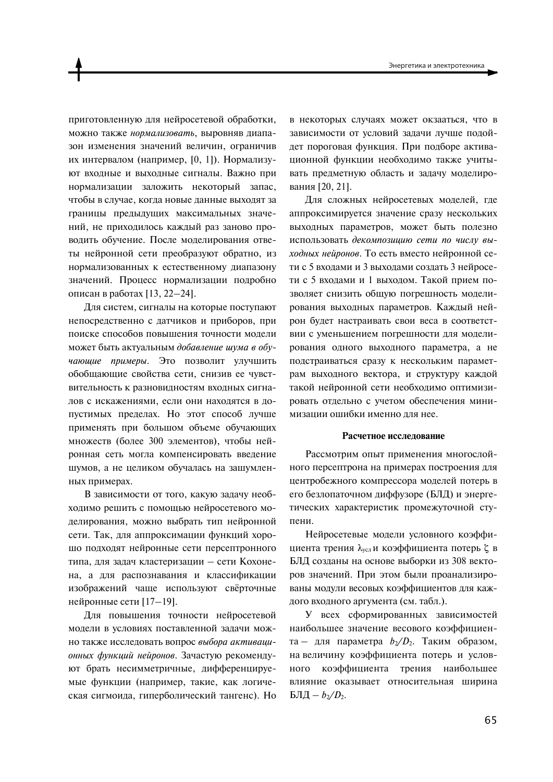приготовленную для нейросетевой обработки. можно также нормализовать, выровняв диапазон изменения значений величин, ограничив их интервалом (например, [0, 1]). Нормализуют входные и выходные сигналы. Важно при нормализации заложить некоторый запас, чтобы в случае, когда новые данные выходят за границы предыдущих максимальных значений, не приходилось каждый раз заново проводить обучение. После моделирования ответы нейронной сети преобразуют обратно, из нормализованных к естественному диапазону значений. Процесс нормализации подробно описан в работах [13, 22-24].

Для систем, сигналы на которые поступают непосредственно с датчиков и приборов, при поиске способов повышения точности модели может быть актуальным добавление шума в обучающие примеры. Это позволит улучшить обобщающие свойства сети, снизив ее чувствительность к разновидностям входных сигналов с искажениями, если они находятся в допустимых пределах. Но этот способ лучше применять при большом объеме обучающих множеств (более 300 элементов), чтобы нейронная сеть могла компенсировать введение шумов, а не целиком обучалась на зашумленных примерах.

В зависимости от того, какую задачу необходимо решить с помощью нейросетевого моделирования, можно выбрать тип нейронной сети. Так, для аппроксимации функций хорошо подходят нейронные сети персептронного типа, для задач кластеризации - сети Кохонена, а для распознавания и классификации изображений чаще используют свёрточные нейронные сети [17-19].

Для повышения точности нейросетевой модели в условиях поставленной задачи можно также исследовать вопрос выбора активационных функций нейронов. Зачастую рекомендуют брать несимметричные, дифференцируемые функции (например, такие, как логическая сигмоида, гиперболический тангенс). Но в некоторых случаях может окзааться, что в зависимости от условий задачи лучше подойдет пороговая функция. При подборе активационной функции необходимо также учитывать предметную область и задачу моделирования [20, 21].

Для сложных нейросетевых моделей, где аппроксимируется значение сразу нескольких выходных параметров, может быть полезно использовать декомпозицию сети по числу выходных нейронов. То есть вместо нейронной сети с 5 входами и 3 выходами создать 3 нейросети с 5 входами и 1 выходом. Такой прием позволяет снизить общую погрешность моделирования выходных параметров. Каждый нейрон будет настраивать свои веса в соответствии с уменьшением погрешности для моделирования одного выходного параметра, а не подстраиваться сразу к нескольким параметрам выходного вектора, и структуру каждой такой нейронной сети необходимо оптимизировать отдельно с учетом обеспечения минимизации ошибки именно для нее.

### Расчетное исслелование

Рассмотрим опыт применения многослойного персептрона на примерах построения для центробежного компрессора моделей потерь в его безлопаточном диффузоре (БЛД) и энергетических характеристик промежуточной ступени.

Нейросетевые модели условного коэффициента трения  $\lambda_{yc}$  и коэффициента потерь  $\zeta$  в БЛД созданы на основе выборки из 308 векторов значений. При этом были проанализированы модули весовых коэффициентов для каждого входного аргумента (см. табл.).

У всех сформированных зависимостей наибольшее значение весового коэффициента - для параметра  $b_2/D_2$ . Таким образом, на величину коэффициента потерь и условного коэффициента трения наибольшее влияние оказывает относительная ширина БЛД  $- b_2/D_2$ .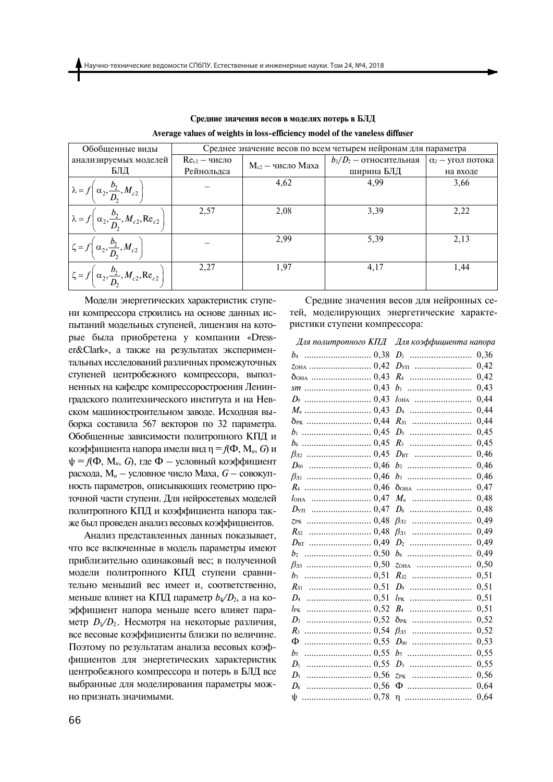| Обобщенные виды                                                             | Среднее значение весов по всем четырем нейронам для параметра |                       |                           |                          |
|-----------------------------------------------------------------------------|---------------------------------------------------------------|-----------------------|---------------------------|--------------------------|
| анализируемых моделей                                                       | $Rec2 - 4$ исло                                               | $M_{c2}$ — число Маха | $b_2/D_2$ — относительная | $\alpha_2$ — угол потока |
| БЛД                                                                         | Рейнольдса                                                    |                       | ширина БЛД                | на входе                 |
| $\lambda = f\left(\alpha_2, \frac{b_2}{D_2}, M_{c2}\right)$                 |                                                               | 4,62                  | 4.99                      | 3,66                     |
| $\lambda = f\left(\alpha_2, \frac{b_2}{D_2}, M_{c2}, \text{Re}_{c2}\right)$ | 2,57                                                          | 2,08                  | 3,39                      | 2,22                     |
| $\zeta = f\left(\alpha_2, \frac{b_2}{D_2}, M_{c2}\right)$                   |                                                               | 2,99                  | 5,39                      | 2,13                     |
| $\zeta = f\left(\alpha_2, \frac{b_2}{D_2}, M_{c2}, \text{Re}_{c2}\right)$   | 2,27                                                          | 1,97                  | 4,17                      | 1,44                     |

Средние значения весов в моделях потерь в БЛД Average values of weights in loss-efficiency model of the vaneless diffuser

Модели энергетических характеристик ступени компрессора строились на основе данных испытаний модельных ступеней, лицензия на которые была приобретена у компании «Dresser&Clark», а также на результатах экспериментальных исследований различных промежуточных ступеней центробежного компрессора, выполненных на кафедре компрессоростроения Ленинградского политехнического института и на Невском машиностроительном заводе. Исходная выборка составила 567 векторов по 32 параметра. Обобщенные зависимости политропного КПД и коэффициента напора имели вид  $\eta = f(\Phi, M_u, G)$  и  $\psi = f(\Phi, M_u, G)$ , где  $\Phi$  — условный коэффициент расхода,  $M_u$  — условное число Маха,  $G$  — совокупность параметров, описывающих геометрию проточной части ступени. Для нейросетевых моделей политропного КПД и коэффициента напора также был проведен анализ весовых коэффициентов.

Анализ представленных данных показывает, что все включенные в модель параметры имеют приблизительно одинаковый вес; в полученной модели политропного КПД ступени сравнительно меньший вес имеет и, соответственно, меньше влияет на КПД параметр  $b_4/D_2$ , а на коэффициент напора меньше всего влияет параметр  $D_1/D_2$ . Несмотря на некоторые различия, все весовые коэффициенты близки по величине. Поэтому по результатам анализа весовых коэффициентов для энергетических характеристик центробежного компрессора и потерь в БЛД все выбранные для моделирования параметры можно признать значимыми.

Средние значения весов для нейронных сетей. моделирующих энергетические характеристики ступени компрессора:

|                             | Для политропного КПД Для коэффициента напора |  |
|-----------------------------|----------------------------------------------|--|
|                             | 0,36                                         |  |
| <u> ZOHA ……………………… 0,42</u> | $D_{\rm VI}$<br>0,42                         |  |
|                             | 0,42<br>$R_4$                                |  |
|                             | 0,43<br>$b_1$                                |  |
|                             | 0,44<br>$l_{\text{OHA}}$                     |  |
|                             | 0,44<br>$D_4$                                |  |
|                             | 0,44                                         |  |
|                             | 0,45                                         |  |
|                             | 0,45<br>$R_3$                                |  |
|                             | 0,46<br>$D_{\text{BT}}$                      |  |
|                             | 0,46<br>$b_2$                                |  |
|                             | 0,46<br>$b_3$                                |  |
|                             | 0,47<br>бонд                                 |  |
|                             | 0,48<br>$M_u$                                |  |
|                             | 0,48<br>$D_6$                                |  |
|                             | 0,49<br>$\beta_{\text{J12}}$                 |  |
|                             | 0,49<br>$\beta_{\text{II}}$                  |  |
|                             | 0,49<br>$D_2$                                |  |
| b <sub>2</sub>              | 0,49<br>b6                                   |  |
|                             | 0,50<br>ZOHA                                 |  |
| 0,51<br>$b_3$               | 0,51                                         |  |
| $R_{S1}$                    | 0,51<br>$D_0$                                |  |
| $D_4$                       | 0, 51<br>$l_{\rm PK}$                        |  |
| $l_{\rm PK}$                | 0,51<br>$B_{4}$                              |  |
| $D_3$                       | 0,52<br><u> брк</u> ……………………                 |  |
| $R_3$                       | 0,52<br>$\beta_{\text{II}5}$                 |  |
| Ф                           | 0,53<br>$D_{00}$                             |  |
| $b_5$                       | 0,55<br>$b_5$                                |  |
| 0,55<br>$D_1$               | 0,55                                         |  |
| $D_5$                       | 0,56<br>$ZPK$                                |  |
| D <sub>6</sub>              | 0,64<br>Ф                                    |  |
| ψ                           | 0.64<br>η                                    |  |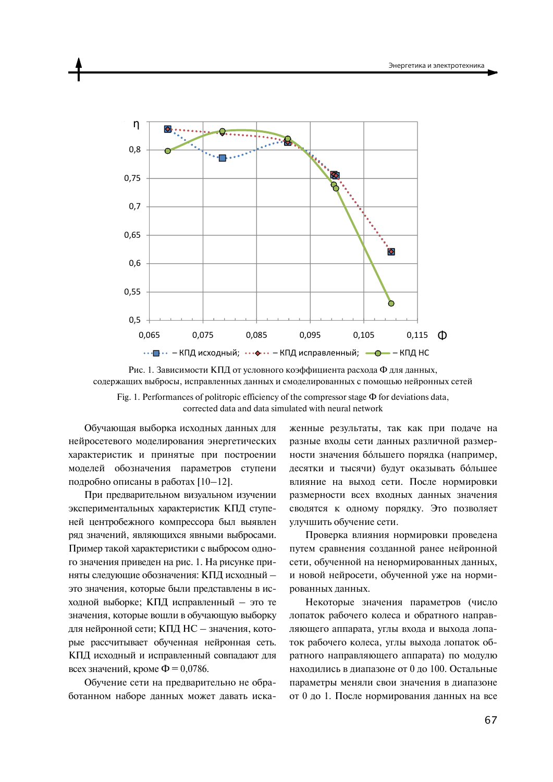

Рис. 1. Зависимости КПД от условного коэффициента расхода Ф для данных, содержащих выбросы, исправленных данных и смоделированных с помощью нейронных сетей

Fig. 1. Performances of politropic efficiency of the compressor stage  $\Phi$  for deviations data. corrected data and data simulated with neural network

Обучающая выборка исходных данных для нейросетевого моделирования энергетических характеристик и принятые при построении моделей обозначения параметров ступени подробно описаны в работах [10-12].

При предварительном визуальном изучении экспериментальных характеристик КПД ступеней центробежного компрессора был выявлен ряд значений, являющихся явными выбросами. Пример такой характеристики с выбросом одного значения приведен на рис. 1. На рисунке приняты следующие обозначения: КПД исходный это значения, которые были представлены в исходной выборке; КПД исправленный - это те значения, которые вошли в обучающую выборку для нейронной сети; КПД НС - значения, которые рассчитывает обученная нейронная сеть. КПД исходный и исправленный совпадают для всех значений, кроме  $\Phi = 0.0786$ .

Обучение сети на предварительно не обработанном наборе данных может давать искаженные результаты, так как при подаче на разные входы сети данных различной размерности значения большего порядка (например, десятки и тысячи) будут оказывать большее влияние на выход сети. После нормировки размерности всех входных данных значения сводятся к одному порядку. Это позволяет улучшить обучение сети.

Проверка влияния нормировки проведена путем сравнения созданной ранее нейронной сети, обученной на ненормированных данных, и новой нейросети, обученной уже на нормированных данных.

Некоторые значения параметров (число лопаток рабочего колеса и обратного направляющего аппарата, углы входа и выхода лопаток рабочего колеса, углы выхода лопаток обратного направляющего аппарата) по модулю находились в диапазоне от 0 до 100. Остальные параметры меняли свои значения в диапазоне от 0 до 1. После нормирования данных на все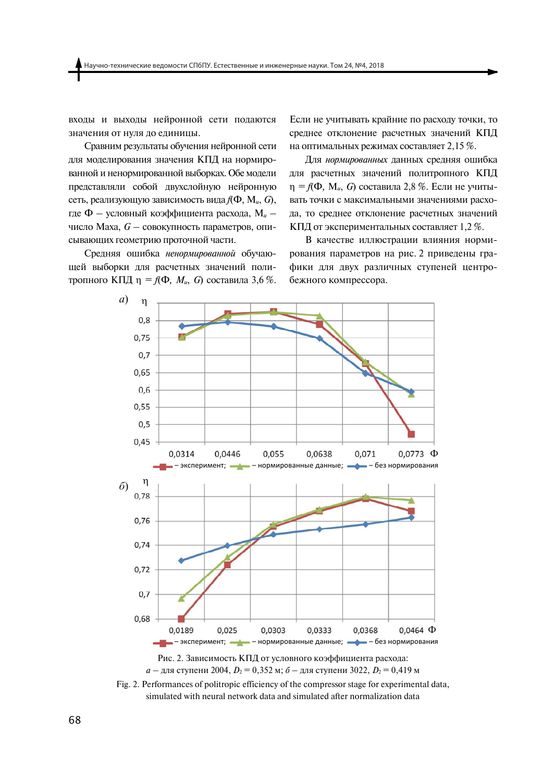вхолы и выхолы нейронной сети полаются значения от нуля до единицы.

Сравним результаты обучения нейронной сети для моделирования значения КПД на нормированной и ненормированной выборках. Обе модели представляли собой двухслойную нейронную сеть, реализующую зависимость вида  $f(\Phi, M_u, G)$ , где Ф — условный коэффициента расхода,  $M_u$  число Маха,  $G$  - совокупность параметров, описывающих геометрию проточной части.

Средняя ошибка ненормированной обучающей выборки для расчетных значений политропного КПД  $\eta = f(\Phi, M_u, G)$  составила 3,6 %. Если не учитывать крайние по расходу точки, то среднее отклонение расчетных значений КПД на оптимальных режимах составляет 2,15 %.

Для нормированных данных средняя ошибка для расчетных значений политропного КПД  $\eta = f(\Phi, M_u, G)$  составила 2,8 %. Если не учитывать точки с максимальными значениями расхода, то среднее отклонение расчетных значений КПД от экспериментальных составляет 1,2 %.

В качестве иллюстрации влияния нормирования параметров на рис. 2 приведены графики для двух различных ступеней центробежного компрессора.



 $a$  — для ступени 2004,  $D_2 = 0,352$  м;  $\delta$  — для ступени 3022,  $D_2 = 0,419$  м

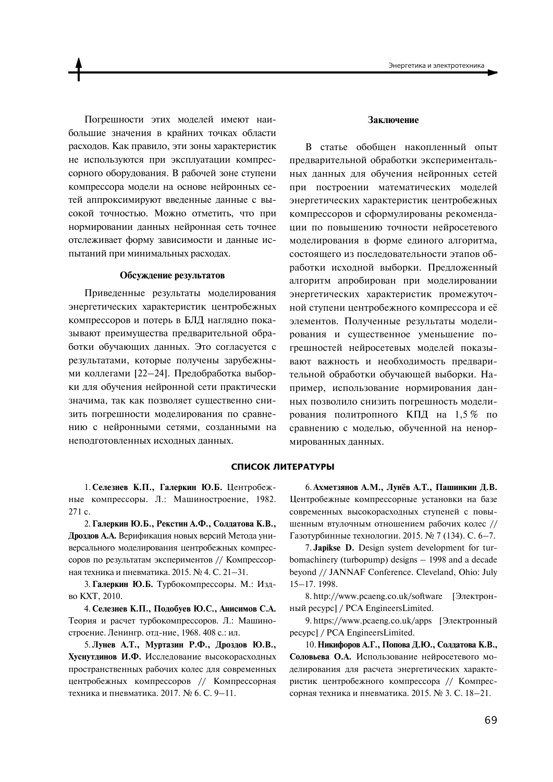Погрешности этих молелей имеют наибольшие значения в крайних точках области расходов. Как правило, эти зоны характеристик не используются при эксплуатации компрессорного оборудования. В рабочей зоне ступени компрессора модели на основе нейронных сетей аппроксимируют введенные данные с высокой точностью. Можно отметить, что при нормировании данных нейронная сеть точнее отслеживает форму зависимости и данные испытаний при минимальных расходах.

### Обсуждение результатов

Приведенные результаты моделирования энергетических характеристик центробежных компрессоров и потерь в БЛД наглядно показывают преимущества предварительной обработки обучающих данных. Это согласуется с результатами, которые получены зарубежными коллегами [22-24]. Предобработка выборки для обучения нейронной сети практически значима, так как позволяет существенно снизить погрешности моделирования по сравнению с нейронными сетями, созданными на неподготовленных исходных данных.

### Заключение

В статье обобщен накопленный опыт предварительной обработки экспериментальных данных для обучения нейронных сетей при построении математических моделей энергетических характеристик центробежных компрессоров и сформулированы рекомендации по повышению точности нейросетевого моделирования в форме единого алгоритма, состоящего из последовательности этапов обработки исходной выборки. Предложенный алгоритм апробирован при моделировании энергетических характеристик промежуточной ступени центробежного компрессора и её элементов. Полученные результаты моделирования и существенное уменьшение погрешностей нейросетевых моделей показывают важность и необходимость предварительной обработки обучающей выборки. Например, использование нормирования данных позволило снизить погрешность моделирования политропного КПД на 1,5 % по сравнению с моделью, обученной на ненормированных данных.

#### СПИСОК ЛИТЕРАТУРЫ

1. Селезнев К.П., Галеркин Ю.Б. Центробежные компрессоры. Л.: Машиностроение, 1982. 271 c.

2. Галеркин Ю.Б., Рекстин А.Ф., Солдатова К.В., Дроздов А.А. Верификация новых версий Метода универсального моделирования центробежных компрессоров по результатам экспериментов // Компрессорная техника и пневматика. 2015. № 4. С. 21-31.

3. Галеркин Ю.Б. Турбокомпрессоры. М.: Издво **KXT**. 2010.

4. Селезнев К.П., Подобуев Ю.С., Анисимов С.А. Теория и расчет турбокомпрессоров. Л.: Машиностроение. Ленингр. отд-ние, 1968. 408 с.: ил.

5. Лунев А.Т., Муртазин Р.Ф., Дроздов Ю.В., Хуснутдинов И.Ф. Исследование высокорасходных пространственных рабочих колес для современных центробежных компрессоров // Компрессорная техника и пневматика. 2017. № 6. С. 9-11.

6. Ахметзянов А.М., Лунёв А.Т., Пашинкин Д.В. Центробежные компрессорные установки на базе современных высокорасходных ступеней с повышенным втулочным отношением рабочих колес // Газотурбинные технологии. 2015. № 7 (134). С. 6-7.

7. Japikse D. Design system development for turbomachinery (turbopump) designs  $-1998$  and a decade beyond // JANNAF Conference. Cleveland, Ohio: July  $15 - 17.1998.$ 

8. http://www.pcaeng.co.uk/software [Электронный ресурс] / PCA EngineersLimited.

9. https://www.pcaeng.co.uk/apps [Электронный pecypc] / PCA EngineersLimited.

10. Никифоров А.Г., Попова Д.Ю., Солдатова К.В., Соловьева О.А. Использование нейросетевого моделирования для расчета энергетических характеристик центробежного компрессора // Компрессорная техника и пневматика. 2015. № 3. С. 18-21.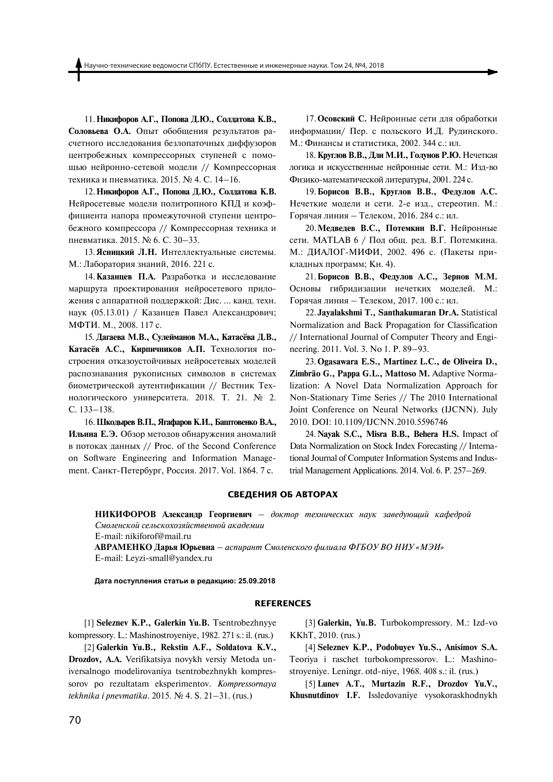11. Никифоров А.Г., Попова Л.Ю., Солдатова К.В., Соловьева О.А. Опыт обобщения результатов расчетного исследования безлопаточных диффузоров центробежных компрессорных ступеней с помощью нейронно-сетевой модели // Компрессорная техника и пневматика. 2015. № 4. С. 14-16.

12. Никифоров А.Г., Попова Д.Ю., Солдатова К.В. Нейросетевые модели политропного КПД и коэффициента напора промежуточной ступени центробежного компрессора // Компрессорная техника и пневматика. 2015. № 6. С. 30–33.

13. Ясницкий Л.Н. Интеллектуальные системы. М.: Лаборатория знаний, 2016. 221 с.

14. Казанцев П.А. Разработка и исследование маршрута проектирования нейросетевого приложения с аппаратной поддержкой: Дис. ... канд. техн. наук (05.13.01) / Казанцев Павел Александрович; МФТИ. М., 2008. 117 с.

15. Дагаева М.В., Сулейманов М.А., Катасёва Д.В., Катасёв А.С., Кирпичников А.П. Технология построения отказоустойчивых нейросетевых моделей распознавания рукописных символов в системах биометрической аутентификации // Вестник Тех-НОЛОГИЧЕСКОГО УНИВЕРСИТЕТА. 2018. Т. 21. № 2. C. 133-138.

16. Шкодырев В.П., Ягафаров К.И., Баштовенко В.А., **Ильина Е.Э.** Обзор методов обнаружения аномалий в потоках данных // Proc. of the Second Conference on Software Engineering and Information Management. Санкт-Петербург, Россия. 2017. Vol. 1864. 7 с.

17. Осовский С. Нейронные сети для обработки информации/ Пер. с польского И.Д. Рудинского. М.: Финансы и статистика, 2002. 344 с.: ил.

18. Круглов В.В., Дли М.И., Голунов Р.Ю. Нечеткая логика и искусственные нейронные сети. М.: Изд-во Физико-математической литературы, 2001. 224 с.

19. Борисов В.В., Круглов В.В., Федулов А.С. Нечеткие модели и сети. 2-е изд., стереотип. М.: Горячая линия – Телеком, 2016. 284 с.: ил.

 $20.$  Медведев В.С., Потемкин В.Г. Нейронные сети. MATLAB 6 / Под общ. ред. В.Г. Потемкина. М.: ДИАЛОГ-МИФИ, 2002. 496 с. (Пакеты прикладных программ; Кн. 4).

21.**ǃоDzǪdzоǤ В.В., ǖǧǦǵǭоǤ А.Ǔ., ljǧDzǯоǤ ǎ.ǎ.** Основы гибридизации нечетких моделей. М.: Горячая линия - Телеком, 2017. 100 с.: ил.

22.**Jayalakshmi T., Santhakumaran Dr.A.** Statistical Normalization and Back Propagation for Classification // International Journal of Computer Theory and Engineering. 2011. Vol. 3. No 1. P. 89–93.

23.**Ogasawara E.S., Martinez L.C., de Oliveira D., Zimbrão G., Pappa G.L., Mattoso M.** Adaptive Normalization: A Novel Data Normalization Approach for Non-Stationary Time Series // The 2010 International Joint Conference on Neural Networks (IJCNN). July 2010. DOI: 10.1109/IJCNN.2010.5596746

24. **Nayak S.C., Misra B.B., Behera H.S.** Impact of Data Normalization on Stock Index Forecasting // International Journal of Computer Information Systems and Industrial Management Applications. 2014. Vol. 6. P. 257–269.

#### **СВЕДЕНИЯ ОБ АВТОРАХ**

НИКИФОРОВ Александр Георгиевич – доктор технических наук заведующий кафедрой *СȌȎȋȅȍȑȊȎȉ ȑȅȋȜȑȊȎȕȎȇȟȉȑȒвȅȍȍȎȉ аȊаȄȅȌȈȈ* E-mail: nikiforof@mail.ru **АВРАМЕНКО Ларья Юрьевна** – аспирант Смоленского филиала ФГБОУ ВО НИУ «МЭИ» E-mail: Leyzi-small@yandex.ru

 $\mu$ ата поступления статьи в редакцию: 25.09.2018

#### **REFERENCES**

[1] **Seleznev K.P., Galerkin Yu.B.** Tsentrobezhnyye kompressory. L.: Mashinostroyeniye, 1982. 271 s.: il. (rus.)

[2] **Galerkin Yu.B., Rekstin A.F., Soldatova K.V., Drozdov, A.A.** Verifikatsiya novykh versiy Metoda universalnogo modelirovaniya tsentrobezhnykh kompressorov po rezultatam eksperimentov. *Kompressornaya tekhnika i pnevmatika*. 2015. № 4. S. 21–31. (rus.)

[3] **Galerkin, Yu.B.** Turbokompressory. M.: Izd-vo KKhT, 2010. (rus.)

[4] **Seleznev K.P., Podobuyev Yu.S., Anisimov S.A.**  Teoriya i raschet turbokompressorov. L.: Mashinostroyeniye. Leningr. otd-niye, 1968. 408 s.: il. (rus.)

[5] **Lunev A.T., Murtazin R.F., Drozdov Yu.V., Khusnutdinov I.F.** Issledovaniye vysokoraskhodnykh